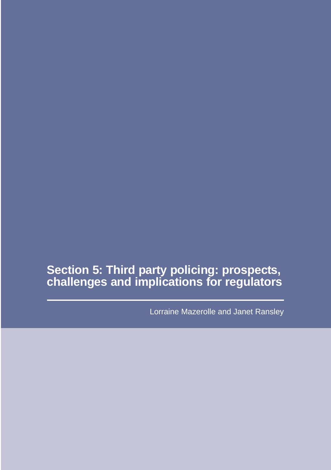# **Section 5: Third party policing: prospects, challenges and implications for regulators**

Lorraine Mazerolle and Janet Ransley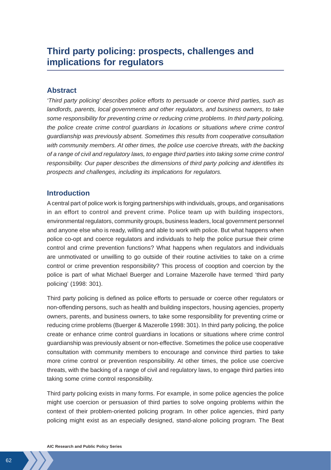## **Third party policing: prospects, challenges and implications for regulators**

## **Abstract**

*'Third party policing' describes police efforts to persuade or coerce third parties, such as landlords, parents, local governments and other regulators, and business owners, to take some responsibility for preventing crime or reducing crime problems. In third party policing, the police create crime control guardians in locations or situations where crime control guardianship was previously absent. Sometimes this results from cooperative consultation with community members. At other times, the police use coercive threats, with the backing of a range of civil and regulatory laws, to engage third parties into taking some crime control responsibility. Our paper describes the dimensions of third party policing and identifies its prospects and challenges, including its implications for regulators.*

## **Introduction**

A central part of police work is forging partnerships with individuals, groups, and organisations in an effort to control and prevent crime. Police team up with building inspectors, environmental regulators, community groups, business leaders, local government personnel and anyone else who is ready, willing and able to work with police. But what happens when police co-opt and coerce regulators and individuals to help the police pursue their crime control and crime prevention functions? What happens when regulators and individuals are unmotivated or unwilling to go outside of their routine activities to take on a crime control or crime prevention responsibility? This process of cooption and coercion by the police is part of what Michael Buerger and Lorraine Mazerolle have termed 'third party policing' (1998: 301).

Third party policing is defined as police efforts to persuade or coerce other regulators or non-offending persons, such as health and building inspectors, housing agencies, property owners, parents, and business owners, to take some responsibility for preventing crime or reducing crime problems (Buerger & Mazerolle 1998: 301). In third party policing, the police create or enhance crime control guardians in locations or situations where crime control guardianship was previously absent or non-effective. Sometimes the police use cooperative consultation with community members to encourage and convince third parties to take more crime control or prevention responsibility. At other times, the police use coercive threats, with the backing of a range of civil and regulatory laws, to engage third parties into taking some crime control responsibility.

Third party policing exists in many forms. For example, in some police agencies the police might use coercion or persuasion of third parties to solve ongoing problems within the context of their problem-oriented policing program. In other police agencies, third party policing might exist as an especially designed, stand-alone policing program. The Beat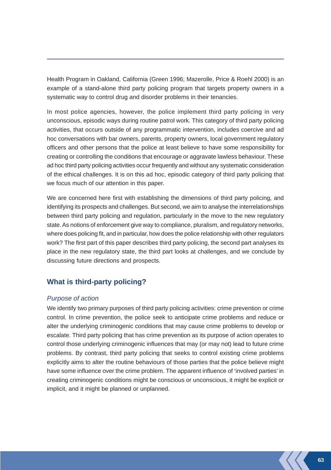Health Program in Oakland, California (Green 1996; Mazerolle, Price & Roehl 2000) is an example of a stand-alone third party policing program that targets property owners in a systematic way to control drug and disorder problems in their tenancies.

In most police agencies, however, the police implement third party policing in very unconscious, episodic ways during routine patrol work. This category of third party policing activities, that occurs outside of any programmatic intervention, includes coercive and ad hoc conversations with bar owners, parents, property owners, local government regulatory officers and other persons that the police at least believe to have some responsibility for creating or controlling the conditions that encourage or aggravate lawless behaviour. These ad hoc third party policing activities occur frequently and without any systematic consideration of the ethical challenges. It is on this ad hoc, episodic category of third party policing that we focus much of our attention in this paper.

We are concerned here first with establishing the dimensions of third party policing, and identifying its prospects and challenges. But second, we aim to analyse the interrelationships between third party policing and regulation, particularly in the move to the new regulatory state. As notions of enforcement give way to compliance, pluralism, and regulatory networks, where does policing fit, and in particular, how does the police relationship with other regulators work? The first part of this paper describes third party policing, the second part analyses its place in the new regulatory state, the third part looks at challenges, and we conclude by discussing future directions and prospects.

## **What is third-party policing?**

## *Purpose of action*

We identify two primary purposes of third party policing activities: crime prevention or crime control. In crime prevention, the police seek to anticipate crime problems and reduce or alter the underlying criminogenic conditions that may cause crime problems to develop or escalate. Third party policing that has crime prevention as its purpose of action operates to control those underlying criminogenic influences that may (or may not) lead to future crime problems. By contrast, third party policing that seeks to control existing crime problems explicitly aims to alter the routine behaviours of those parties that the police believe might have some influence over the crime problem. The apparent influence of 'involved parties' in creating criminogenic conditions might be conscious or unconscious, it might be explicit or implicit, and it might be planned or unplanned.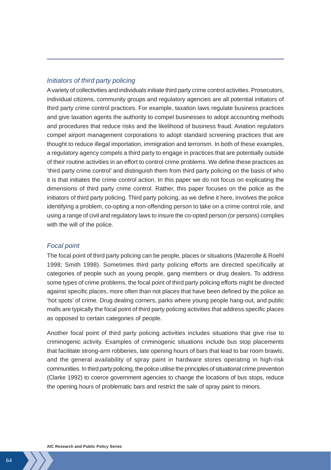## *Initiators of third party policing*

A variety of collectivities and individuals initiate third party crime control activities. Prosecutors, individual citizens, community groups and regulatory agencies are all potential initiators of third party crime control practices. For example, taxation laws regulate business practices and give taxation agents the authority to compel businesses to adopt accounting methods and procedures that reduce risks and the likelihood of business fraud. Aviation regulators compel airport management corporations to adopt standard screening practices that are thought to reduce illegal importation, immigration and terrorism. In both of these examples, a regulatory agency compels a third party to engage in practices that are potentially outside of their routine activities in an effort to control crime problems. We define these practices as 'third party crime control' and distinguish them from third party policing on the basis of who it is that initiates the crime control action. In this paper we do not focus on explicating the dimensions of third party crime control. Rather, this paper focuses on the police as the initiators of third party policing. Third party policing, as we define it here, involves the police identifying a problem, co-opting a non-offending person to take on a crime control role, and using a range of civil and regulatory laws to insure the co-opted person (or persons) complies with the will of the police.

### *Focal point*

The focal point of third party policing can be people, places or situations (Mazerolle & Roehl 1998; Smith 1998). Sometimes third party policing efforts are directed specifically at categories of people such as young people, gang members or drug dealers. To address some types of crime problems, the focal point of third party policing efforts might be directed against specific places, more often than not places that have been defined by the police as 'hot spots' of crime. Drug dealing corners, parks where young people hang-out, and public malls are typically the focal point of third party policing activities that address specific places as opposed to certain categories of people.

Another focal point of third party policing activities includes situations that give rise to criminogenic activity. Examples of criminogenic situations include bus stop placements that facilitate strong-arm robberies, late opening hours of bars that lead to bar room brawls, and the general availability of spray paint in hardware stores operating in high-risk communities. In third party policing, the police utilise the principles of situational crime prevention (Clarke 1992) to coerce government agencies to change the locations of bus stops, reduce the opening hours of problematic bars and restrict the sale of spray paint to minors.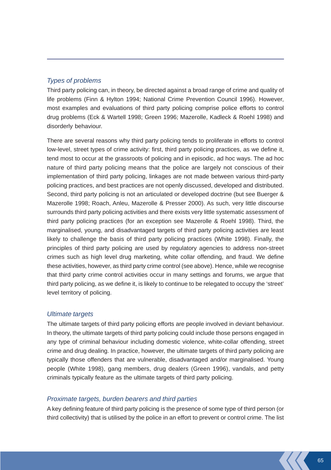## *Types of problems*

Third party policing can, in theory, be directed against a broad range of crime and quality of life problems (Finn & Hylton 1994; National Crime Prevention Council 1996). However, most examples and evaluations of third party policing comprise police efforts to control drug problems (Eck & Wartell 1998; Green 1996; Mazerolle, Kadleck & Roehl 1998) and disorderly behaviour.

There are several reasons why third party policing tends to proliferate in efforts to control low-level, street types of crime activity: first, third party policing practices, as we define it, tend most to occur at the grassroots of policing and in episodic, ad hoc ways. The ad hoc nature of third party policing means that the police are largely not conscious of their implementation of third party policing, linkages are not made between various third-party policing practices, and best practices are not openly discussed, developed and distributed. Second, third party policing is not an articulated or developed doctrine (but see Buerger & Mazerolle 1998; Roach, Anleu, Mazerolle & Presser 2000). As such, very little discourse surrounds third party policing activities and there exists very little systematic assessment of third party policing practices (for an exception see Mazerolle & Roehl 1998). Third, the marginalised, young, and disadvantaged targets of third party policing activities are least likely to challenge the basis of third party policing practices (White 1998). Finally, the principles of third party policing are used by regulatory agencies to address non-street crimes such as high level drug marketing, white collar offending, and fraud. We define these activities, however, as third party crime control (see above). Hence, while we recognise that third party crime control activities occur in many settings and forums, we argue that third party policing, as we define it, is likely to continue to be relegated to occupy the 'street' level territory of policing.

#### *Ultimate targets*

The ultimate targets of third party policing efforts are people involved in deviant behaviour. In theory, the ultimate targets of third party policing could include those persons engaged in any type of criminal behaviour including domestic violence, white-collar offending, street crime and drug dealing. In practice, however, the ultimate targets of third party policing are typically those offenders that are vulnerable, disadvantaged and/or marginalised. Young people (White 1998), gang members, drug dealers (Green 1996), vandals, and petty criminals typically feature as the ultimate targets of third party policing.

#### *Proximate targets, burden bearers and third parties*

A key defining feature of third party policing is the presence of some type of third person (or third collectivity) that is utilised by the police in an effort to prevent or control crime. The list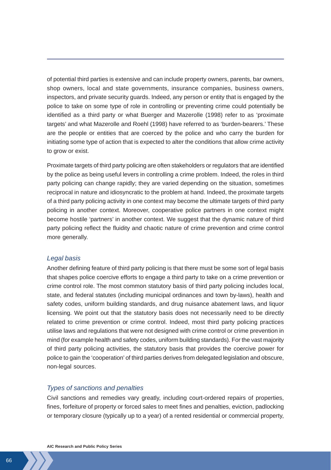of potential third parties is extensive and can include property owners, parents, bar owners, shop owners, local and state governments, insurance companies, business owners, inspectors, and private security guards. Indeed, any person or entity that is engaged by the police to take on some type of role in controlling or preventing crime could potentially be identified as a third party or what Buerger and Mazerolle (1998) refer to as 'proximate targets' and what Mazerolle and Roehl (1998) have referred to as 'burden-bearers.' These are the people or entities that are coerced by the police and who carry the burden for initiating some type of action that is expected to alter the conditions that allow crime activity to grow or exist.

Proximate targets of third party policing are often stakeholders or regulators that are identified by the police as being useful levers in controlling a crime problem. Indeed, the roles in third party policing can change rapidly; they are varied depending on the situation, sometimes reciprocal in nature and idiosyncratic to the problem at hand. Indeed, the proximate targets of a third party policing activity in one context may become the ultimate targets of third party policing in another context. Moreover, cooperative police partners in one context might become hostile 'partners' in another context. We suggest that the dynamic nature of third party policing reflect the fluidity and chaotic nature of crime prevention and crime control more generally.

### *Legal basis*

Another defining feature of third party policing is that there must be some sort of legal basis that shapes police coercive efforts to engage a third party to take on a crime prevention or crime control role. The most common statutory basis of third party policing includes local, state, and federal statutes (including municipal ordinances and town by-laws), health and safety codes, uniform building standards, and drug nuisance abatement laws, and liquor licensing. We point out that the statutory basis does not necessarily need to be directly related to crime prevention or crime control. Indeed, most third party policing practices utilise laws and regulations that were not designed with crime control or crime prevention in mind (for example health and safety codes, uniform building standards). For the vast majority of third party policing activities, the statutory basis that provides the coercive power for police to gain the 'cooperation' of third parties derives from delegated legislation and obscure, non-legal sources.

#### *Types of sanctions and penalties*

Civil sanctions and remedies vary greatly, including court-ordered repairs of properties, fines, forfeiture of property or forced sales to meet fines and penalties, eviction, padlocking or temporary closure (typically up to a year) of a rented residential or commercial property,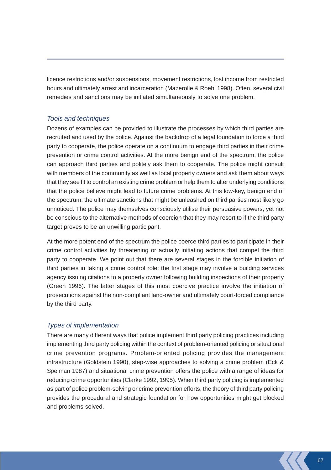licence restrictions and/or suspensions, movement restrictions, lost income from restricted hours and ultimately arrest and incarceration (Mazerolle & Roehl 1998). Often, several civil remedies and sanctions may be initiated simultaneously to solve one problem.

## *Tools and techniques*

Dozens of examples can be provided to illustrate the processes by which third parties are recruited and used by the police. Against the backdrop of a legal foundation to force a third party to cooperate, the police operate on a continuum to engage third parties in their crime prevention or crime control activities. At the more benign end of the spectrum, the police can approach third parties and politely ask them to cooperate. The police might consult with members of the community as well as local property owners and ask them about ways that they see fit to control an existing crime problem or help them to alter underlying conditions that the police believe might lead to future crime problems. At this low-key, benign end of the spectrum, the ultimate sanctions that might be unleashed on third parties most likely go unnoticed. The police may themselves consciously utilise their persuasive powers, yet not be conscious to the alternative methods of coercion that they may resort to if the third party target proves to be an unwilling participant.

At the more potent end of the spectrum the police coerce third parties to participate in their crime control activities by threatening or actually initiating actions that compel the third party to cooperate. We point out that there are several stages in the forcible initiation of third parties in taking a crime control role: the first stage may involve a building services agency issuing citations to a property owner following building inspections of their property (Green 1996). The latter stages of this most coercive practice involve the initiation of prosecutions against the non-compliant land-owner and ultimately court-forced compliance by the third party.

#### *Types of implementation*

There are many different ways that police implement third party policing practices including implementing third party policing within the context of problem-oriented policing or situational crime prevention programs. Problem-oriented policing provides the management infrastructure (Goldstein 1990), step-wise approaches to solving a crime problem (Eck & Spelman 1987) and situational crime prevention offers the police with a range of ideas for reducing crime opportunities (Clarke 1992, 1995). When third party policing is implemented as part of police problem-solving or crime prevention efforts, the theory of third party policing provides the procedural and strategic foundation for how opportunities might get blocked and problems solved.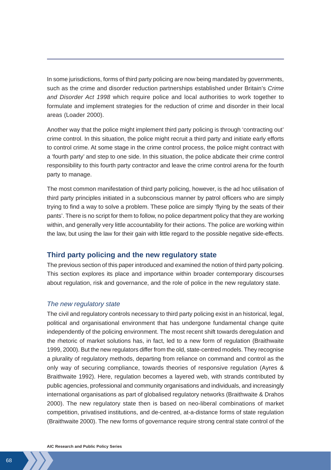In some jurisdictions, forms of third party policing are now being mandated by governments, such as the crime and disorder reduction partnerships established under Britain's *Crime and Disorder Act 1998* which require police and local authorities to work together to formulate and implement strategies for the reduction of crime and disorder in their local areas (Loader 2000).

Another way that the police might implement third party policing is through 'contracting out' crime control. In this situation, the police might recruit a third party and initiate early efforts to control crime. At some stage in the crime control process, the police might contract with a 'fourth party' and step to one side. In this situation, the police abdicate their crime control responsibility to this fourth party contractor and leave the crime control arena for the fourth party to manage.

The most common manifestation of third party policing, however, is the ad hoc utilisation of third party principles initiated in a subconscious manner by patrol officers who are simply trying to find a way to solve a problem. These police are simply 'flying by the seats of their pants'. There is no script for them to follow, no police department policy that they are working within, and generally very little accountability for their actions. The police are working within the law, but using the law for their gain with little regard to the possible negative side-effects.

## **Third party policing and the new regulatory state**

The previous section of this paper introduced and examined the notion of third party policing. This section explores its place and importance within broader contemporary discourses about regulation, risk and governance, and the role of police in the new regulatory state.

## *The new regulatory state*

The civil and regulatory controls necessary to third party policing exist in an historical, legal, political and organisational environment that has undergone fundamental change quite independently of the policing environment. The most recent shift towards deregulation and the rhetoric of market solutions has, in fact, led to a new form of regulation (Braithwaite 1999, 2000). But the new regulators differ from the old, state-centred models. They recognise a plurality of regulatory methods, departing from reliance on command and control as the only way of securing compliance, towards theories of responsive regulation (Ayres & Braithwaite 1992). Here, regulation becomes a layered web, with strands contributed by public agencies, professional and community organisations and individuals, and increasingly international organisations as part of globalised regulatory networks (Braithwaite & Drahos 2000). The new regulatory state then is based on neo-liberal combinations of market competition, privatised institutions, and de-centred, at-a-distance forms of state regulation (Braithwaite 2000). The new forms of governance require strong central state control of the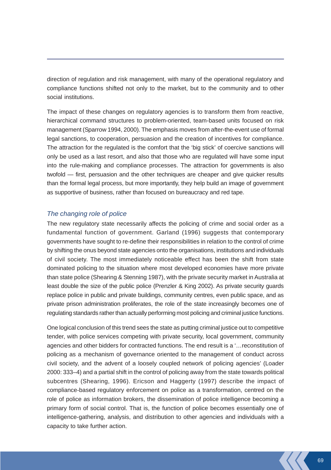direction of regulation and risk management, with many of the operational regulatory and compliance functions shifted not only to the market, but to the community and to other social institutions.

The impact of these changes on regulatory agencies is to transform them from reactive, hierarchical command structures to problem-oriented, team-based units focused on risk management (Sparrow 1994, 2000). The emphasis moves from after-the-event use of formal legal sanctions, to cooperation, persuasion and the creation of incentives for compliance. The attraction for the regulated is the comfort that the 'big stick' of coercive sanctions will only be used as a last resort, and also that those who are regulated will have some input into the rule-making and compliance processes. The attraction for governments is also twofold — first, persuasion and the other techniques are cheaper and give quicker results than the formal legal process, but more importantly, they help build an image of government as supportive of business, rather than focused on bureaucracy and red tape.

## *The changing role of police*

The new regulatory state necessarily affects the policing of crime and social order as a fundamental function of government. Garland (1996) suggests that contemporary governments have sought to re-define their responsibilities in relation to the control of crime by shifting the onus beyond state agencies onto the organisations, institutions and individuals of civil society. The most immediately noticeable effect has been the shift from state dominated policing to the situation where most developed economies have more private than state police (Shearing & Stenning 1987), with the private security market in Australia at least double the size of the public police (Prenzler & King 2002). As private security guards replace police in public and private buildings, community centres, even public space, and as private prison administration proliferates, the role of the state increasingly becomes one of regulating standards rather than actually performing most policing and criminal justice functions.

One logical conclusion of this trend sees the state as putting criminal justice out to competitive tender, with police services competing with private security, local government, community agencies and other bidders for contracted functions. The end result is a '…reconstitution of policing as a mechanism of governance oriented to the management of conduct across civil society, and the advent of a loosely coupled network of policing agencies' (Loader 2000: 333–4) and a partial shift in the control of policing away from the state towards political subcentres (Shearing, 1996). Ericson and Haggerty (1997) describe the impact of compliance-based regulatory enforcement on police as a transformation, centred on the role of police as information brokers, the dissemination of police intelligence becoming a primary form of social control. That is, the function of police becomes essentially one of intelligence-gathering, analysis, and distribution to other agencies and individuals with a capacity to take further action.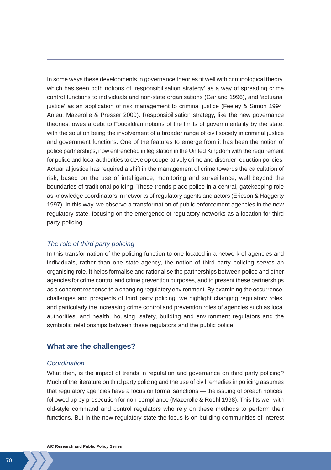In some ways these developments in governance theories fit well with criminological theory, which has seen both notions of 'responsibilisation strategy' as a way of spreading crime control functions to individuals and non-state organisations (Garland 1996), and 'actuarial justice' as an application of risk management to criminal justice (Feeley & Simon 1994; Anleu, Mazerolle & Presser 2000). Responsibilisation strategy, like the new governance theories, owes a debt to Foucaldian notions of the limits of governmentality by the state, with the solution being the involvement of a broader range of civil society in criminal justice and government functions. One of the features to emerge from it has been the notion of police partnerships, now entrenched in legislation in the United Kingdom with the requirement for police and local authorities to develop cooperatively crime and disorder reduction policies. Actuarial justice has required a shift in the management of crime towards the calculation of risk, based on the use of intelligence, monitoring and surveillance, well beyond the boundaries of traditional policing. These trends place police in a central, gatekeeping role as knowledge coordinators in networks of regulatory agents and actors (Ericson & Haggerty 1997). In this way, we observe a transformation of public enforcement agencies in the new regulatory state, focusing on the emergence of regulatory networks as a location for third party policing.

## *The role of third party policing*

In this transformation of the policing function to one located in a network of agencies and individuals, rather than one state agency, the notion of third party policing serves an organising role. It helps formalise and rationalise the partnerships between police and other agencies for crime control and crime prevention purposes, and to present these partnerships as a coherent response to a changing regulatory environment. By examining the occurrence, challenges and prospects of third party policing, we highlight changing regulatory roles, and particularly the increasing crime control and prevention roles of agencies such as local authorities, and health, housing, safety, building and environment regulators and the symbiotic relationships between these regulators and the public police.

## **What are the challenges?**

#### *Coordination*

What then, is the impact of trends in regulation and governance on third party policing? Much of the literature on third party policing and the use of civil remedies in policing assumes that regulatory agencies have a focus on formal sanctions — the issuing of breach notices, followed up by prosecution for non-compliance (Mazerolle & Roehl 1998). This fits well with old-style command and control regulators who rely on these methods to perform their functions. But in the new regulatory state the focus is on building communities of interest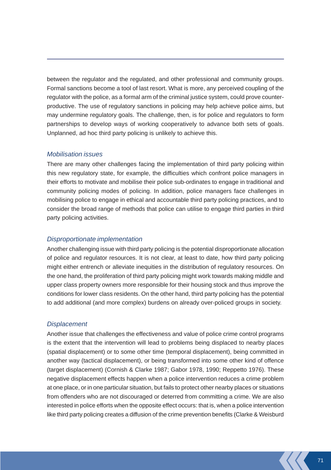between the regulator and the regulated, and other professional and community groups. Formal sanctions become a tool of last resort. What is more, any perceived coupling of the regulator with the police, as a formal arm of the criminal justice system, could prove counterproductive. The use of regulatory sanctions in policing may help achieve police aims, but may undermine regulatory goals. The challenge, then, is for police and regulators to form partnerships to develop ways of working cooperatively to advance both sets of goals. Unplanned, ad hoc third party policing is unlikely to achieve this.

## *Mobilisation issues*

There are many other challenges facing the implementation of third party policing within this new regulatory state, for example, the difficulties which confront police managers in their efforts to motivate and mobilise their police sub-ordinates to engage in traditional and community policing modes of policing. In addition, police managers face challenges in mobilising police to engage in ethical and accountable third party policing practices, and to consider the broad range of methods that police can utilise to engage third parties in third party policing activities.

### *Disproportionate implementation*

Another challenging issue with third party policing is the potential disproportionate allocation of police and regulator resources. It is not clear, at least to date, how third party policing might either entrench or alleviate inequities in the distribution of regulatory resources. On the one hand, the proliferation of third party policing might work towards making middle and upper class property owners more responsible for their housing stock and thus improve the conditions for lower class residents. On the other hand, third party policing has the potential to add additional (and more complex) burdens on already over-policed groups in society.

#### *Displacement*

Another issue that challenges the effectiveness and value of police crime control programs is the extent that the intervention will lead to problems being displaced to nearby places (spatial displacement) or to some other time (temporal displacement), being committed in another way (tactical displacement), or being transformed into some other kind of offence (target displacement) (Cornish & Clarke 1987; Gabor 1978, 1990; Reppetto 1976). These negative displacement effects happen when a police intervention reduces a crime problem at one place, or in one particular situation, but fails to protect other nearby places or situations from offenders who are not discouraged or deterred from committing a crime. We are also interested in police efforts when the opposite effect occurs: that is, when a police intervention like third party policing creates a diffusion of the crime prevention benefits (Clarke & Weisburd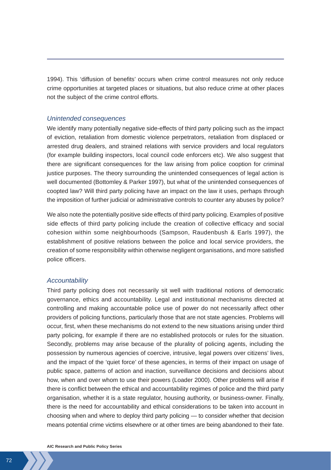1994). This 'diffusion of benefits' occurs when crime control measures not only reduce crime opportunities at targeted places or situations, but also reduce crime at other places not the subject of the crime control efforts.

### *Unintended consequences*

We identify many potentially negative side-effects of third party policing such as the impact of eviction, retaliation from domestic violence perpetrators, retaliation from displaced or arrested drug dealers, and strained relations with service providers and local regulators (for example building inspectors, local council code enforcers etc). We also suggest that there are significant consequences for the law arising from police cooption for criminal justice purposes. The theory surrounding the unintended consequences of legal action is well documented (Bottomley & Parker 1997), but what of the unintended consequences of coopted law? Will third party policing have an impact on the law it uses, perhaps through the imposition of further judicial or administrative controls to counter any abuses by police?

We also note the potentially positive side effects of third party policing. Examples of positive side effects of third party policing include the creation of collective efficacy and social cohesion within some neighbourhoods (Sampson, Raudenbush & Earls 1997), the establishment of positive relations between the police and local service providers, the creation of some responsibility within otherwise negligent organisations, and more satisfied police officers.

#### *Accountability*

Third party policing does not necessarily sit well with traditional notions of democratic governance, ethics and accountability. Legal and institutional mechanisms directed at controlling and making accountable police use of power do not necessarily affect other providers of policing functions, particularly those that are not state agencies. Problems will occur, first, when these mechanisms do not extend to the new situations arising under third party policing, for example if there are no established protocols or rules for the situation. Secondly, problems may arise because of the plurality of policing agents, including the possession by numerous agencies of coercive, intrusive, legal powers over citizens' lives, and the impact of the 'quiet force' of these agencies, in terms of their impact on usage of public space, patterns of action and inaction, surveillance decisions and decisions about how, when and over whom to use their powers (Loader 2000). Other problems will arise if there is conflict between the ethical and accountability regimes of police and the third party organisation, whether it is a state regulator, housing authority, or business-owner. Finally, there is the need for accountability and ethical considerations to be taken into account in choosing when and where to deploy third party policing — to consider whether that decision means potential crime victims elsewhere or at other times are being abandoned to their fate.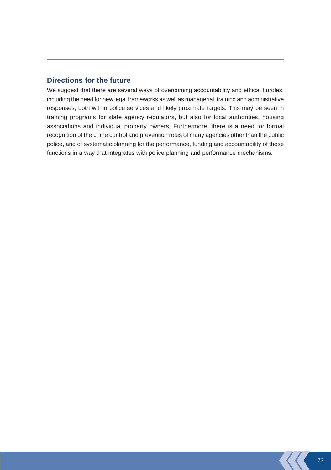## **Directions for the future**

We suggest that there are several ways of overcoming accountability and ethical hurdles, including the need for new legal frameworks as well as managerial, training and administrative responses, both within police services and likely proximate targets. This may be seen in training programs for state agency regulators, but also for local authorities, housing associations and individual property owners. Furthermore, there is a need for formal recognition of the crime control and prevention roles of many agencies other than the public police, and of systematic planning for the performance, funding and accountability of those functions in a way that integrates with police planning and performance mechanisms.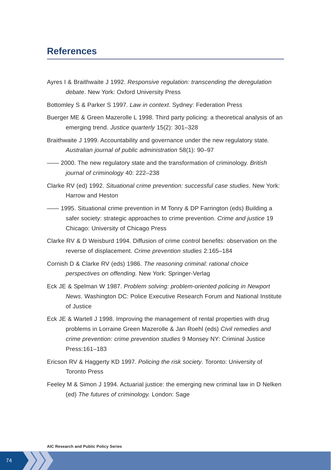## **References**

- Ayres I & Braithwaite J 1992. *Responsive regulation: transcending the deregulation debate*. New York: Oxford University Press
- Bottomley S & Parker S 1997. *Law in context*. Sydney: Federation Press
- Buerger ME & Green Mazerolle L 1998. Third party policing: a theoretical analysis of an emerging trend. *Justice quarterly* 15(2): 301–328
- Braithwaite J 1999. Accountability and governance under the new regulatory state*. Australian journal of public administration* 58(1): 90–97
- —— 2000. The new regulatory state and the transformation of criminology. *British journal of criminology* 40: 222–238
- Clarke RV (ed) 1992. *Situational crime prevention: successful case studies*. New York: Harrow and Heston
- —— 1995. Situational crime prevention in M Tonry & DP Farrington (eds) Building a safer society: strategic approaches to crime prevention. *Crime and justice* 19 Chicago: University of Chicago Press
- Clarke RV & D Weisburd 1994. Diffusion of crime control benefits: observation on the reverse of displacement. *Crime prevention studies* 2:165–184
- Cornish D & Clarke RV (eds) 1986. *The reasoning criminal: rational choice perspectives on offending.* New York: Springer-Verlag
- Eck JE & Spelman W 1987. *Problem solving: problem-oriented policing in Newport News*. Washington DC: Police Executive Research Forum and National Institute of Justice
- Eck JE & Wartell J 1998. Improving the management of rental properties with drug problems in Lorraine Green Mazerolle & Jan Roehl (eds) *Civil remedies and crime prevention: crime prevention studies* 9 Monsey NY: Criminal Justice Press:161–183
- Ericson RV & Haggerty KD 1997. *Policing the risk society*. Toronto: University of Toronto Press
- Feeley M & Simon J 1994. Actuarial justice: the emerging new criminal law in D Nelken (ed) *The futures of criminology.* London: Sage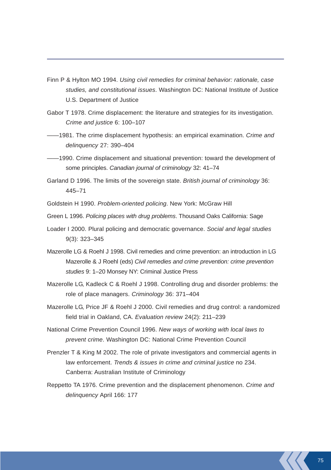- Finn P & Hylton MO 1994. *Using civil remedies for criminal behavior: rationale, case studies, and constitutional issues*. Washington DC: National Institute of Justice U.S. Department of Justice
- Gabor T 1978. Crime displacement: the literature and strategies for its investigation. *Crime and justice* 6: 100–107
- ——1981. The crime displacement hypothesis: an empirical examination. *Crime and delinquency* 27: 390–404
- ——1990. Crime displacement and situational prevention: toward the development of some principles. *Canadian journal of criminology* 32: 41–74
- Garland D 1996. The limits of the sovereign state. *British journal of criminology* 36: 445–71
- Goldstein H 1990. *Problem-oriented policing*. New York: McGraw Hill
- Green L 1996. *Policing places with drug problems*. Thousand Oaks California: Sage
- Loader I 2000. Plural policing and democratic governance. *Social and legal studies* 9(3): 323–345
- Mazerolle LG & Roehl J 1998. Civil remedies and crime prevention: an introduction in LG Mazerolle & J Roehl (eds) *Civil remedies and crime prevention: crime prevention studies* 9: 1–20 Monsey NY: Criminal Justice Press
- Mazerolle LG, Kadleck C & Roehl J 1998. Controlling drug and disorder problems: the role of place managers. *Criminology* 36: 371–404
- Mazerolle LG, Price JF & Roehl J 2000. Civil remedies and drug control: a randomized field trial in Oakland, CA. *Evaluation review* 24(2): 211–239
- National Crime Prevention Council 1996. *New ways of working with local laws to prevent crime*. Washington DC: National Crime Prevention Council
- Prenzler T & King M 2002. The role of private investigators and commercial agents in law enforcement. *Trends & issues in crime and criminal justice* no 234. Canberra: Australian Institute of Criminology
- Reppetto TA 1976. Crime prevention and the displacement phenomenon. *Crime and delinquency* April 166: 177